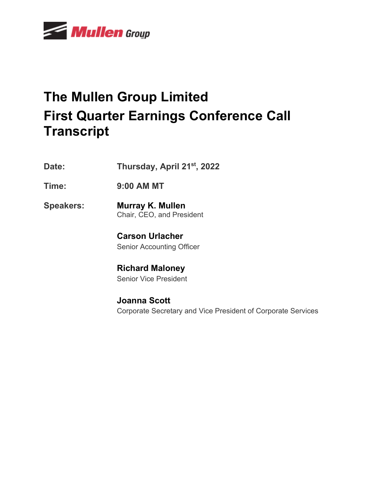

# **The Mullen Group Limited First Quarter Earnings Conference Call Transcript**

- **Date: Thursday, April 21st , 2022**
- **Time: 9:00 AM MT**
- **Speakers: Murray K. Mullen** Chair, CEO, and President
	- **Carson Urlacher** Senior Accounting Officer
	- **Richard Maloney** Senior Vice President
	- **Joanna Scott** Corporate Secretary and Vice President of Corporate Services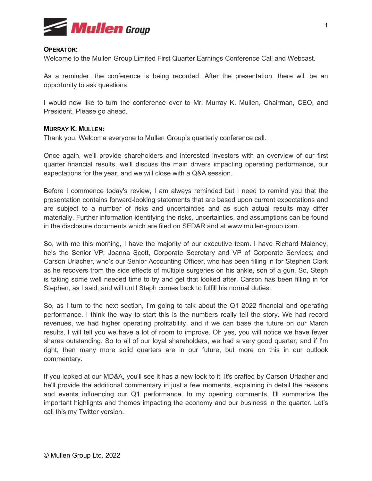

## **OPERATOR:**

Welcome to the Mullen Group Limited First Quarter Earnings Conference Call and Webcast.

As a reminder, the conference is being recorded. After the presentation, there will be an opportunity to ask questions.

I would now like to turn the conference over to Mr. Murray K. Mullen, Chairman, CEO, and President. Please go ahead.

## **MURRAY K. MULLEN:**

Thank you. Welcome everyone to Mullen Group's quarterly conference call.

Once again, we'll provide shareholders and interested investors with an overview of our first quarter financial results, we'll discuss the main drivers impacting operating performance, our expectations for the year, and we will close with a Q&A session.

Before I commence today's review, I am always reminded but I need to remind you that the presentation contains forward-looking statements that are based upon current expectations and are subject to a number of risks and uncertainties and as such actual results may differ materially. Further information identifying the risks, uncertainties, and assumptions can be found in the disclosure documents which are filed on SEDAR and at [www.mullen-group.com.](http://www.mullen-group.com/)

So, with me this morning, I have the majority of our executive team. I have Richard Maloney, he's the Senior VP; Joanna Scott, Corporate Secretary and VP of Corporate Services; and Carson Urlacher, who's our Senior Accounting Officer, who has been filling in for Stephen Clark as he recovers from the side effects of multiple surgeries on his ankle, son of a gun. So, Steph is taking some well needed time to try and get that looked after. Carson has been filling in for Stephen, as I said, and will until Steph comes back to fulfill his normal duties.

So, as I turn to the next section, I'm going to talk about the Q1 2022 financial and operating performance. I think the way to start this is the numbers really tell the story. We had record revenues, we had higher operating profitability, and if we can base the future on our March results, I will tell you we have a lot of room to improve. Oh yes, you will notice we have fewer shares outstanding. So to all of our loyal shareholders, we had a very good quarter, and if I'm right, then many more solid quarters are in our future, but more on this in our outlook commentary.

If you looked at our MD&A, you'll see it has a new look to it. It's crafted by Carson Urlacher and he'll provide the additional commentary in just a few moments, explaining in detail the reasons and events influencing our Q1 performance. In my opening comments, I'll summarize the important highlights and themes impacting the economy and our business in the quarter. Let's call this my Twitter version.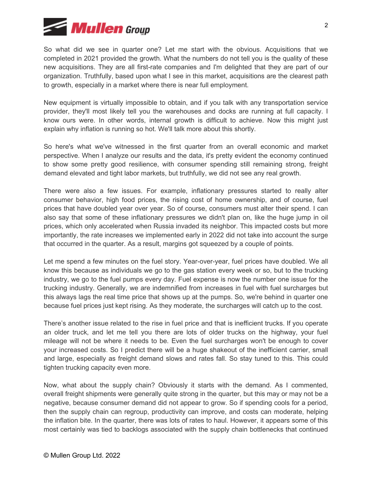

So what did we see in quarter one? Let me start with the obvious. Acquisitions that we completed in 2021 provided the growth. What the numbers do not tell you is the quality of these new acquisitions. They are all first-rate companies and I'm delighted that they are part of our organization. Truthfully, based upon what I see in this market, acquisitions are the clearest path to growth, especially in a market where there is near full employment.

New equipment is virtually impossible to obtain, and if you talk with any transportation service provider, they'll most likely tell you the warehouses and docks are running at full capacity. I know ours were. In other words, internal growth is difficult to achieve. Now this might just explain why inflation is running so hot. We'll talk more about this shortly.

So here's what we've witnessed in the first quarter from an overall economic and market perspective. When I analyze our results and the data, it's pretty evident the economy continued to show some pretty good resilience, with consumer spending still remaining strong, freight demand elevated and tight labor markets, but truthfully, we did not see any real growth.

There were also a few issues. For example, inflationary pressures started to really alter consumer behavior, high food prices, the rising cost of home ownership, and of course, fuel prices that have doubled year over year. So of course, consumers must alter their spend. I can also say that some of these inflationary pressures we didn't plan on, like the huge jump in oil prices, which only accelerated when Russia invaded its neighbor. This impacted costs but more importantly, the rate increases we implemented early in 2022 did not take into account the surge that occurred in the quarter. As a result, margins got squeezed by a couple of points.

Let me spend a few minutes on the fuel story. Year-over-year, fuel prices have doubled. We all know this because as individuals we go to the gas station every week or so, but to the trucking industry, we go to the fuel pumps every day. Fuel expense is now the number one issue for the trucking industry. Generally, we are indemnified from increases in fuel with fuel surcharges but this always lags the real time price that shows up at the pumps. So, we're behind in quarter one because fuel prices just kept rising. As they moderate, the surcharges will catch up to the cost.

There's another issue related to the rise in fuel price and that is inefficient trucks. If you operate an older truck, and let me tell you there are lots of older trucks on the highway, your fuel mileage will not be where it needs to be. Even the fuel surcharges won't be enough to cover your increased costs. So I predict there will be a huge shakeout of the inefficient carrier, small and large, especially as freight demand slows and rates fall. So stay tuned to this. This could tighten trucking capacity even more.

Now, what about the supply chain? Obviously it starts with the demand. As I commented, overall freight shipments were generally quite strong in the quarter, but this may or may not be a negative, because consumer demand did not appear to grow. So if spending cools for a period, then the supply chain can regroup, productivity can improve, and costs can moderate, helping the inflation bite. In the quarter, there was lots of rates to haul. However, it appears some of this most certainly was tied to backlogs associated with the supply chain bottlenecks that continued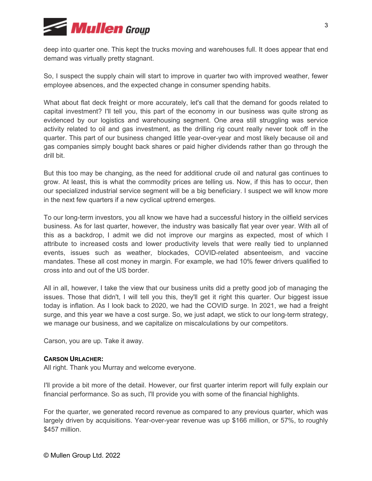

deep into quarter one. This kept the trucks moving and warehouses full. It does appear that end demand was virtually pretty stagnant.

So, I suspect the supply chain will start to improve in quarter two with improved weather, fewer employee absences, and the expected change in consumer spending habits.

What about flat deck freight or more accurately, let's call that the demand for goods related to capital investment? I'll tell you, this part of the economy in our business was quite strong as evidenced by our logistics and warehousing segment. One area still struggling was service activity related to oil and gas investment, as the drilling rig count really never took off in the quarter. This part of our business changed little year-over-year and most likely because oil and gas companies simply bought back shares or paid higher dividends rather than go through the drill bit.

But this too may be changing, as the need for additional crude oil and natural gas continues to grow. At least, this is what the commodity prices are telling us. Now, if this has to occur, then our specialized industrial service segment will be a big beneficiary. I suspect we will know more in the next few quarters if a new cyclical uptrend emerges.

To our long-term investors, you all know we have had a successful history in the oilfield services business. As for last quarter, however, the industry was basically flat year over year. With all of this as a backdrop, I admit we did not improve our margins as expected, most of which I attribute to increased costs and lower productivity levels that were really tied to unplanned events, issues such as weather, blockades, COVID-related absenteeism, and vaccine mandates. These all cost money in margin. For example, we had 10% fewer drivers qualified to cross into and out of the US border.

All in all, however, I take the view that our business units did a pretty good job of managing the issues. Those that didn't, I will tell you this, they'll get it right this quarter. Our biggest issue today is inflation. As I look back to 2020, we had the COVID surge. In 2021, we had a freight surge, and this year we have a cost surge. So, we just adapt, we stick to our long-term strategy, we manage our business, and we capitalize on miscalculations by our competitors.

Carson, you are up. Take it away.

## **CARSON URLACHER:**

All right. Thank you Murray and welcome everyone.

I'll provide a bit more of the detail. However, our first quarter interim report will fully explain our financial performance. So as such, I'll provide you with some of the financial highlights.

For the quarter, we generated record revenue as compared to any previous quarter, which was largely driven by acquisitions. Year-over-year revenue was up \$166 million, or 57%, to roughly \$457 million.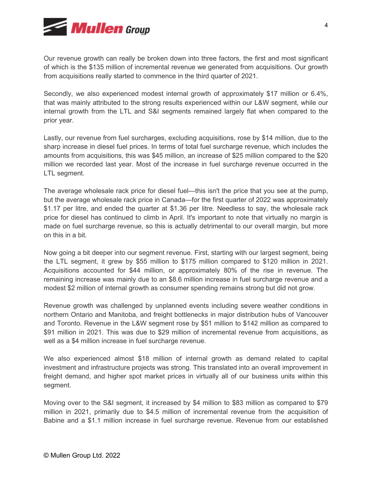

Our revenue growth can really be broken down into three factors, the first and most significant of which is the \$135 million of incremental revenue we generated from acquisitions. Our growth from acquisitions really started to commence in the third quarter of 2021.

Secondly, we also experienced modest internal growth of approximately \$17 million or 6.4%, that was mainly attributed to the strong results experienced within our L&W segment, while our internal growth from the LTL and S&I segments remained largely flat when compared to the prior year.

Lastly, our revenue from fuel surcharges, excluding acquisitions, rose by \$14 million, due to the sharp increase in diesel fuel prices. In terms of total fuel surcharge revenue, which includes the amounts from acquisitions, this was \$45 million, an increase of \$25 million compared to the \$20 million we recorded last year. Most of the increase in fuel surcharge revenue occurred in the LTL segment.

The average wholesale rack price for diesel fuel—this isn't the price that you see at the pump, but the average wholesale rack price in Canada—for the first quarter of 2022 was approximately \$1.17 per litre, and ended the quarter at \$1.36 per litre. Needless to say, the wholesale rack price for diesel has continued to climb in April. It's important to note that virtually no margin is made on fuel surcharge revenue, so this is actually detrimental to our overall margin, but more on this in a bit.

Now going a bit deeper into our segment revenue. First, starting with our largest segment, being the LTL segment, it grew by \$55 million to \$175 million compared to \$120 million in 2021. Acquisitions accounted for \$44 million, or approximately 80% of the rise in revenue. The remaining increase was mainly due to an \$8.6 million increase in fuel surcharge revenue and a modest \$2 million of internal growth as consumer spending remains strong but did not grow.

Revenue growth was challenged by unplanned events including severe weather conditions in northern Ontario and Manitoba, and freight bottlenecks in major distribution hubs of Vancouver and Toronto. Revenue in the L&W segment rose by \$51 million to \$142 million as compared to \$91 million in 2021. This was due to \$29 million of incremental revenue from acquisitions, as well as a \$4 million increase in fuel surcharge revenue.

We also experienced almost \$18 million of internal growth as demand related to capital investment and infrastructure projects was strong. This translated into an overall improvement in freight demand, and higher spot market prices in virtually all of our business units within this segment.

Moving over to the S&I segment, it increased by \$4 million to \$83 million as compared to \$79 million in 2021, primarily due to \$4.5 million of incremental revenue from the acquisition of Babine and a \$1.1 million increase in fuel surcharge revenue. Revenue from our established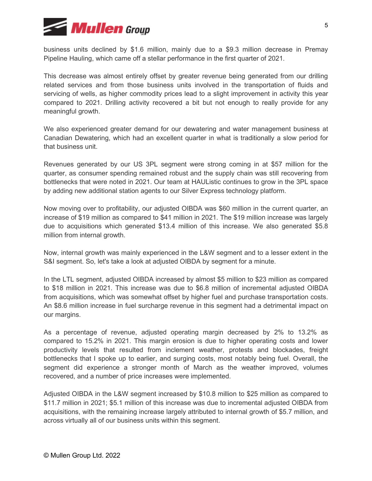

business units declined by \$1.6 million, mainly due to a \$9.3 million decrease in Premay Pipeline Hauling, which came off a stellar performance in the first quarter of 2021.

This decrease was almost entirely offset by greater revenue being generated from our drilling related services and from those business units involved in the transportation of fluids and servicing of wells, as higher commodity prices lead to a slight improvement in activity this year compared to 2021. Drilling activity recovered a bit but not enough to really provide for any meaningful growth.

We also experienced greater demand for our dewatering and water management business at Canadian Dewatering, which had an excellent quarter in what is traditionally a slow period for that business unit.

Revenues generated by our US 3PL segment were strong coming in at \$57 million for the quarter, as consumer spending remained robust and the supply chain was still recovering from bottlenecks that were noted in 2021. Our team at HAUListic continues to grow in the 3PL space by adding new additional station agents to our Silver Express technology platform.

Now moving over to profitability, our adjusted OIBDA was \$60 million in the current quarter, an increase of \$19 million as compared to \$41 million in 2021. The \$19 million increase was largely due to acquisitions which generated \$13.4 million of this increase. We also generated \$5.8 million from internal growth.

Now, internal growth was mainly experienced in the L&W segment and to a lesser extent in the S&I segment. So, let's take a look at adjusted OIBDA by segment for a minute.

In the LTL segment, adjusted OIBDA increased by almost \$5 million to \$23 million as compared to \$18 million in 2021. This increase was due to \$6.8 million of incremental adjusted OIBDA from acquisitions, which was somewhat offset by higher fuel and purchase transportation costs. An \$8.6 million increase in fuel surcharge revenue in this segment had a detrimental impact on our margins.

As a percentage of revenue, adjusted operating margin decreased by 2% to 13.2% as compared to 15.2% in 2021. This margin erosion is due to higher operating costs and lower productivity levels that resulted from inclement weather, protests and blockades, freight bottlenecks that I spoke up to earlier, and surging costs, most notably being fuel. Overall, the segment did experience a stronger month of March as the weather improved, volumes recovered, and a number of price increases were implemented.

Adjusted OIBDA in the L&W segment increased by \$10.8 million to \$25 million as compared to \$11.7 million in 2021; \$5.1 million of this increase was due to incremental adjusted OIBDA from acquisitions, with the remaining increase largely attributed to internal growth of \$5.7 million, and across virtually all of our business units within this segment.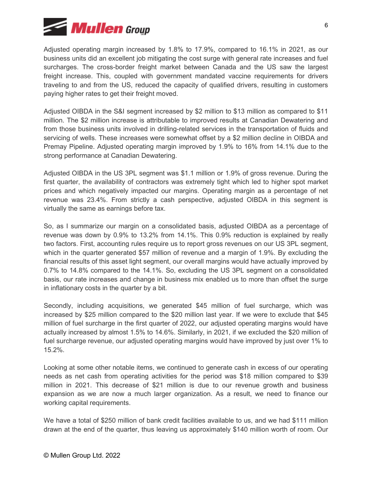

Adjusted operating margin increased by 1.8% to 17.9%, compared to 16.1% in 2021, as our business units did an excellent job mitigating the cost surge with general rate increases and fuel surcharges. The cross-border freight market between Canada and the US saw the largest freight increase. This, coupled with government mandated vaccine requirements for drivers traveling to and from the US, reduced the capacity of qualified drivers, resulting in customers paying higher rates to get their freight moved.

Adjusted OIBDA in the S&I segment increased by \$2 million to \$13 million as compared to \$11 million. The \$2 million increase is attributable to improved results at Canadian Dewatering and from those business units involved in drilling-related services in the transportation of fluids and servicing of wells. These increases were somewhat offset by a \$2 million decline in OIBDA and Premay Pipeline. Adjusted operating margin improved by 1.9% to 16% from 14.1% due to the strong performance at Canadian Dewatering.

Adjusted OIBDA in the US 3PL segment was \$1.1 million or 1.9% of gross revenue. During the first quarter, the availability of contractors was extremely tight which led to higher spot market prices and which negatively impacted our margins. Operating margin as a percentage of net revenue was 23.4%. From strictly a cash perspective, adjusted OIBDA in this segment is virtually the same as earnings before tax.

So, as I summarize our margin on a consolidated basis, adjusted OIBDA as a percentage of revenue was down by 0.9% to 13.2% from 14.1%. This 0.9% reduction is explained by really two factors. First, accounting rules require us to report gross revenues on our US 3PL segment, which in the quarter generated \$57 million of revenue and a margin of 1.9%. By excluding the financial results of this asset light segment, our overall margins would have actually improved by 0.7% to 14.8% compared to the 14.1%. So, excluding the US 3PL segment on a consolidated basis, our rate increases and change in business mix enabled us to more than offset the surge in inflationary costs in the quarter by a bit.

Secondly, including acquisitions, we generated \$45 million of fuel surcharge, which was increased by \$25 million compared to the \$20 million last year. If we were to exclude that \$45 million of fuel surcharge in the first quarter of 2022, our adjusted operating margins would have actually increased by almost 1.5% to 14.6%. Similarly, in 2021, if we excluded the \$20 million of fuel surcharge revenue, our adjusted operating margins would have improved by just over 1% to 15.2%.

Looking at some other notable items, we continued to generate cash in excess of our operating needs as net cash from operating activities for the period was \$18 million compared to \$39 million in 2021. This decrease of \$21 million is due to our revenue growth and business expansion as we are now a much larger organization. As a result, we need to finance our working capital requirements.

We have a total of \$250 million of bank credit facilities available to us, and we had \$111 million drawn at the end of the quarter, thus leaving us approximately \$140 million worth of room. Our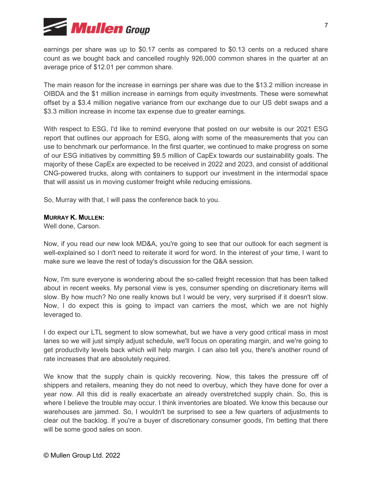

earnings per share was up to \$0.17 cents as compared to \$0.13 cents on a reduced share count as we bought back and cancelled roughly 926,000 common shares in the quarter at an average price of \$12.01 per common share.

The main reason for the increase in earnings per share was due to the \$13.2 million increase in OIBDA and the \$1 million increase in earnings from equity investments. These were somewhat offset by a \$3.4 million negative variance from our exchange due to our US debt swaps and a \$3.3 million increase in income tax expense due to greater earnings.

With respect to ESG, I'd like to remind everyone that posted on our website is our 2021 ESG report that outlines our approach for ESG, along with some of the measurements that you can use to benchmark our performance. In the first quarter, we continued to make progress on some of our ESG initiatives by committing \$9.5 million of CapEx towards our sustainability goals. The majority of these CapEx are expected to be received in 2022 and 2023, and consist of additional CNG-powered trucks, along with containers to support our investment in the intermodal space that will assist us in moving customer freight while reducing emissions.

So, Murray with that, I will pass the conference back to you.

## **MURRAY K. MULLEN:**

Well done, Carson.

Now, if you read our new look MD&A, you're going to see that our outlook for each segment is well-explained so I don't need to reiterate it word for word. In the interest of your time, I want to make sure we leave the rest of today's discussion for the Q&A session.

Now, I'm sure everyone is wondering about the so-called freight recession that has been talked about in recent weeks. My personal view is yes, consumer spending on discretionary items will slow. By how much? No one really knows but I would be very, very surprised if it doesn't slow. Now, I do expect this is going to impact van carriers the most, which we are not highly leveraged to.

I do expect our LTL segment to slow somewhat, but we have a very good critical mass in most lanes so we will just simply adjust schedule, we'll focus on operating margin, and we're going to get productivity levels back which will help margin. I can also tell you, there's another round of rate increases that are absolutely required.

We know that the supply chain is quickly recovering. Now, this takes the pressure off of shippers and retailers, meaning they do not need to overbuy, which they have done for over a year now. All this did is really exacerbate an already overstretched supply chain. So, this is where I believe the trouble may occur. I think inventories are bloated. We know this because our warehouses are jammed. So, I wouldn't be surprised to see a few quarters of adjustments to clear out the backlog. If you're a buyer of discretionary consumer goods, I'm betting that there will be some good sales on soon.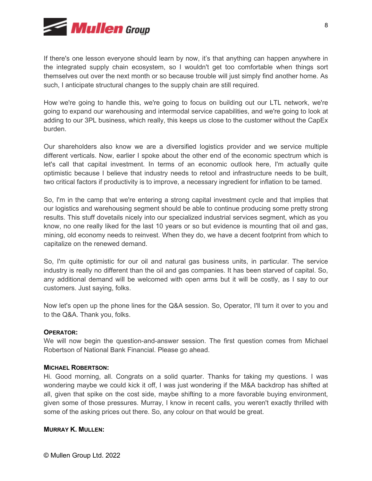

If there's one lesson everyone should learn by now, it's that anything can happen anywhere in the integrated supply chain ecosystem, so I wouldn't get too comfortable when things sort themselves out over the next month or so because trouble will just simply find another home. As such, I anticipate structural changes to the supply chain are still required.

How we're going to handle this, we're going to focus on building out our LTL network, we're going to expand our warehousing and intermodal service capabilities, and we're going to look at adding to our 3PL business, which really, this keeps us close to the customer without the CapEx burden.

Our shareholders also know we are a diversified logistics provider and we service multiple different verticals. Now, earlier I spoke about the other end of the economic spectrum which is let's call that capital investment. In terms of an economic outlook here, I'm actually quite optimistic because I believe that industry needs to retool and infrastructure needs to be built, two critical factors if productivity is to improve, a necessary ingredient for inflation to be tamed.

So, I'm in the camp that we're entering a strong capital investment cycle and that implies that our logistics and warehousing segment should be able to continue producing some pretty strong results. This stuff dovetails nicely into our specialized industrial services segment, which as you know, no one really liked for the last 10 years or so but evidence is mounting that oil and gas, mining, old economy needs to reinvest. When they do, we have a decent footprint from which to capitalize on the renewed demand.

So, I'm quite optimistic for our oil and natural gas business units, in particular. The service industry is really no different than the oil and gas companies. It has been starved of capital. So, any additional demand will be welcomed with open arms but it will be costly, as I say to our customers. Just saying, folks.

Now let's open up the phone lines for the Q&A session. So, Operator, I'll turn it over to you and to the Q&A. Thank you, folks.

## **OPERATOR:**

We will now begin the question-and-answer session. The first question comes from Michael Robertson of National Bank Financial. Please go ahead.

## **MICHAEL ROBERTSON:**

Hi. Good morning, all. Congrats on a solid quarter. Thanks for taking my questions. I was wondering maybe we could kick it off, I was just wondering if the M&A backdrop has shifted at all, given that spike on the cost side, maybe shifting to a more favorable buying environment, given some of those pressures. Murray, I know in recent calls, you weren't exactly thrilled with some of the asking prices out there. So, any colour on that would be great.

## **MURRAY K. MULLEN:**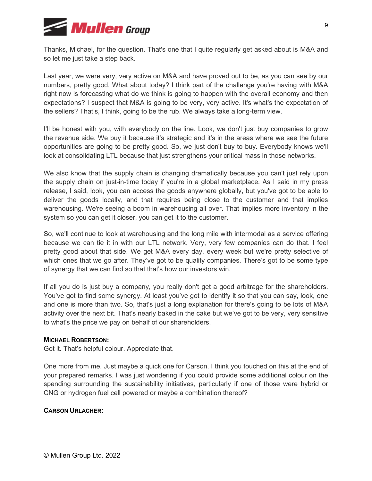

Thanks, Michael, for the question. That's one that I quite regularly get asked about is M&A and so let me just take a step back.

Last year, we were very, very active on M&A and have proved out to be, as you can see by our numbers, pretty good. What about today? I think part of the challenge you're having with M&A right now is forecasting what do we think is going to happen with the overall economy and then expectations? I suspect that M&A is going to be very, very active. It's what's the expectation of the sellers? That's, I think, going to be the rub. We always take a long-term view.

I'll be honest with you, with everybody on the line. Look, we don't just buy companies to grow the revenue side. We buy it because it's strategic and it's in the areas where we see the future opportunities are going to be pretty good. So, we just don't buy to buy. Everybody knows we'll look at consolidating LTL because that just strengthens your critical mass in those networks.

We also know that the supply chain is changing dramatically because you can't just rely upon the supply chain on just-in-time today if you're in a global marketplace. As I said in my press release, I said, look, you can access the goods anywhere globally, but you've got to be able to deliver the goods locally, and that requires being close to the customer and that implies warehousing. We're seeing a boom in warehousing all over. That implies more inventory in the system so you can get it closer, you can get it to the customer.

So, we'll continue to look at warehousing and the long mile with intermodal as a service offering because we can tie it in with our LTL network. Very, very few companies can do that. I feel pretty good about that side. We get M&A every day, every week but we're pretty selective of which ones that we go after. They've got to be quality companies. There's got to be some type of synergy that we can find so that that's how our investors win.

If all you do is just buy a company, you really don't get a good arbitrage for the shareholders. You've got to find some synergy. At least you've got to identify it so that you can say, look, one and one is more than two. So, that's just a long explanation for there's going to be lots of M&A activity over the next bit. That's nearly baked in the cake but we've got to be very, very sensitive to what's the price we pay on behalf of our shareholders.

## **MICHAEL ROBERTSON:**

Got it. That's helpful colour. Appreciate that.

One more from me. Just maybe a quick one for Carson. I think you touched on this at the end of your prepared remarks. I was just wondering if you could provide some additional colour on the spending surrounding the sustainability initiatives, particularly if one of those were hybrid or CNG or hydrogen fuel cell powered or maybe a combination thereof?

# **CARSON URLACHER:**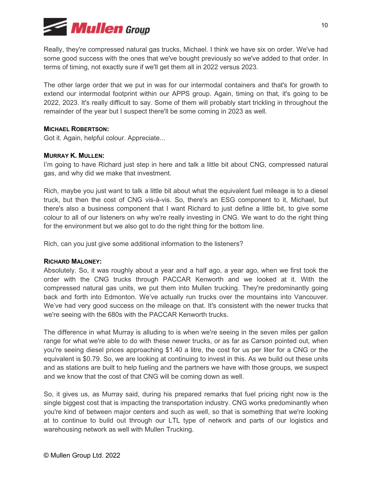

Really, they're compressed natural gas trucks, Michael. I think we have six on order. We've had some good success with the ones that we've bought previously so we've added to that order. In terms of timing, not exactly sure if we'll get them all in 2022 versus 2023.

The other large order that we put in was for our intermodal containers and that's for growth to extend our intermodal footprint within our APPS group. Again, timing on that, it's going to be 2022, 2023. It's really difficult to say. Some of them will probably start trickling in throughout the remainder of the year but I suspect there'll be some coming in 2023 as well.

## **MICHAEL ROBERTSON:**

Got it. Again, helpful colour. Appreciate...

## **MURRAY K. MULLEN:**

I'm going to have Richard just step in here and talk a little bit about CNG, compressed natural gas, and why did we make that investment.

Rich, maybe you just want to talk a little bit about what the equivalent fuel mileage is to a diesel truck, but then the cost of CNG vis-à-vis. So, there's an ESG component to it, Michael, but there's also a business component that I want Richard to just define a little bit, to give some colour to all of our listeners on why we're really investing in CNG. We want to do the right thing for the environment but we also got to do the right thing for the bottom line.

Rich, can you just give some additional information to the listeners?

## **RICHARD MALONEY:**

Absolutely. So, it was roughly about a year and a half ago, a year ago, when we first took the order with the CNG trucks through PACCAR Kenworth and we looked at it. With the compressed natural gas units, we put them into Mullen trucking. They're predominantly going back and forth into Edmonton. We've actually run trucks over the mountains into Vancouver. We've had very good success on the mileage on that. It's consistent with the newer trucks that we're seeing with the 680s with the PACCAR Kenworth trucks.

The difference in what Murray is alluding to is when we're seeing in the seven miles per gallon range for what we're able to do with these newer trucks, or as far as Carson pointed out, when you're seeing diesel prices approaching \$1.40 a litre, the cost for us per liter for a CNG or the equivalent is \$0.79. So, we are looking at continuing to invest in this. As we build out these units and as stations are built to help fueling and the partners we have with those groups, we suspect and we know that the cost of that CNG will be coming down as well.

So, it gives us, as Murray said, during his prepared remarks that fuel pricing right now is the single biggest cost that is impacting the transportation industry. CNG works predominantly when you're kind of between major centers and such as well, so that is something that we're looking at to continue to build out through our LTL type of network and parts of our logistics and warehousing network as well with Mullen Trucking.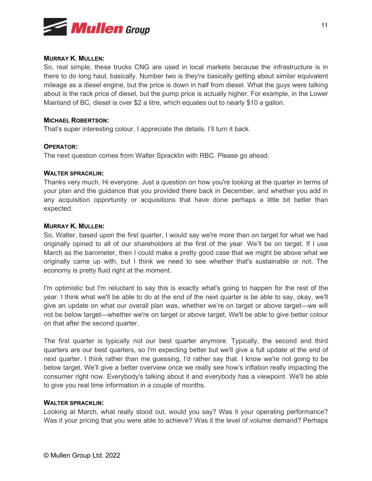

## **MURRAY K. MULLEN:**

So, real simple, these trucks CNG are used in local markets because the infrastructure is in there to do long haul, basically. Number two is they're basically getting about similar equivalent mileage as a diesel engine, but the price is down in half from diesel. What the guys were talking about is the rack price of diesel, but the pump price is actually higher. For example, in the Lower Mainland of BC, diesel is over \$2 a litre, which equates out to nearly \$10 a gallon.

## **MICHAEL ROBERTSON:**

That's super interesting colour. I appreciate the details. I'll turn it back.

#### **OPERATOR:**

The next question comes from Walter Spracklin with RBC. Please go ahead.

#### **WALTER SPRACKLIN:**

Thanks very much. Hi everyone. Just a question on how you're looking at the quarter in terms of your plan and the guidance that you provided there back in December, and whether you add in any acquisition opportunity or acquisitions that have done perhaps a little bit better than expected.

#### **MURRAY K. MULLEN:**

So, Walter, based upon the first quarter, I would say we're more than on target for what we had originally opined to all of our shareholders at the first of the year. We'll be on target. If I use March as the barometer, then I could make a pretty good case that we might be above what we originally came up with, but I think we need to see whether that's sustainable or not. The economy is pretty fluid right at the moment.

I'm optimistic but I'm reluctant to say this is exactly what's going to happen for the rest of the year. I think what we'll be able to do at the end of the next quarter is be able to say, okay, we'll give an update on what our overall plan was, whether we're on target or above target—we will not be below target—whether we're on target or above target. We'll be able to give better colour on that after the second quarter.

The first quarter is typically not our best quarter anymore. Typically, the second and third quarters are our best quarters, so I'm expecting better but we'll give a full update at the end of next quarter. I think rather than me guessing, I'd rather say that. I know we're not going to be below target. We'll give a better overview once we really see how's inflation really impacting the consumer right now. Everybody's talking about it and everybody has a viewpoint. We'll be able to give you real time information in a couple of months.

#### **WALTER SPRACKLIN:**

Looking at March, what really stood out, would you say? Was it your operating performance? Was it your pricing that you were able to achieve? Was it the level of volume demand? Perhaps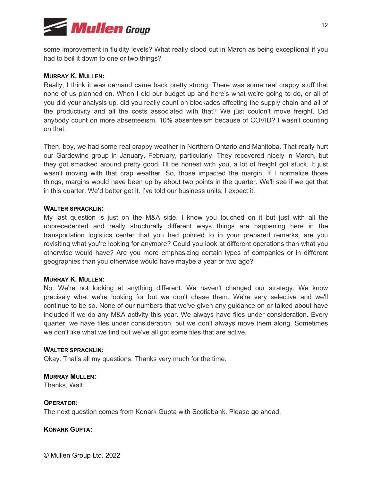

some improvement in fluidity levels? What really stood out in March as being exceptional if you had to boil it down to one or two things?

## **MURRAY K. MULLEN:**

Really, I think it was demand came back pretty strong. There was some real crappy stuff that none of us planned on. When I did our budget up and here's what we're going to do, or all of you did your analysis up, did you really count on blockades affecting the supply chain and all of the productivity and all the costs associated with that? We just couldn't move freight. Did anybody count on more absenteeism, 10% absenteeism because of COVID? I wasn't counting on that.

Then, boy, we had some real crappy weather in Northern Ontario and Manitoba. That really hurt our Gardewine group in January, February, particularly. They recovered nicely in March, but they got smacked around pretty good. I'll be honest with you, a lot of freight got stuck. It just wasn't moving with that crap weather. So, those impacted the margin. If I normalize those things, margins would have been up by about two points in the quarter. We'll see if we get that in this quarter. We'd better get it. I've told our business units, I expect it.

#### **WALTER SPRACKLIN:**

My last question is just on the M&A side. I know you touched on it but just with all the unprecedented and really structurally different ways things are happening here in the transportation logistics center that you had pointed to in your prepared remarks, are you revisiting what you're looking for anymore? Could you look at different operations than what you otherwise would have? Are you more emphasizing certain types of companies or in different geographies than you otherwise would have maybe a year or two ago?

## **MURRAY K. MULLEN:**

No. We're not looking at anything different. We haven't changed our strategy. We know precisely what we're looking for but we don't chase them. We're very selective and we'll continue to be so. None of our numbers that we've given any guidance on or talked about have included if we do any M&A activity this year. We always have files under consideration. Every quarter, we have files under consideration, but we don't always move them along. Sometimes we don't like what we find but we've all got some files that are active.

#### **WAI TER SPRACKLIN:**

Okay. That's all my questions. Thanks very much for the time.

## **MURRAY MULLEN:**

Thanks, Walt.

## **OPERATOR:**

The next question comes from Konark Gupta with Scotiabank. Please go ahead.

## **KONARK GUPTA:**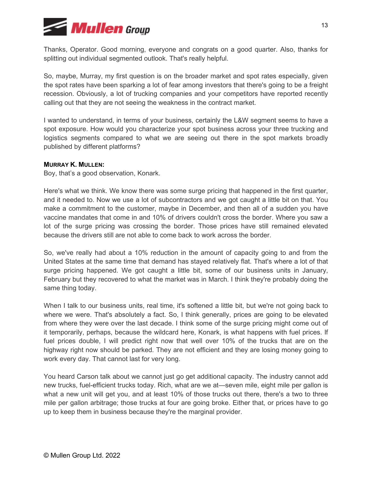

Thanks, Operator. Good morning, everyone and congrats on a good quarter. Also, thanks for splitting out individual segmented outlook. That's really helpful.

So, maybe, Murray, my first question is on the broader market and spot rates especially, given the spot rates have been sparking a lot of fear among investors that there's going to be a freight recession. Obviously, a lot of trucking companies and your competitors have reported recently calling out that they are not seeing the weakness in the contract market.

I wanted to understand, in terms of your business, certainly the L&W segment seems to have a spot exposure. How would you characterize your spot business across your three trucking and logistics segments compared to what we are seeing out there in the spot markets broadly published by different platforms?

## **MURRAY K. MULLEN:**

Boy, that's a good observation, Konark.

Here's what we think. We know there was some surge pricing that happened in the first quarter, and it needed to. Now we use a lot of subcontractors and we got caught a little bit on that. You make a commitment to the customer, maybe in December, and then all of a sudden you have vaccine mandates that come in and 10% of drivers couldn't cross the border. Where you saw a lot of the surge pricing was crossing the border. Those prices have still remained elevated because the drivers still are not able to come back to work across the border.

So, we've really had about a 10% reduction in the amount of capacity going to and from the United States at the same time that demand has stayed relatively flat. That's where a lot of that surge pricing happened. We got caught a little bit, some of our business units in January, February but they recovered to what the market was in March. I think they're probably doing the same thing today.

When I talk to our business units, real time, it's softened a little bit, but we're not going back to where we were. That's absolutely a fact. So, I think generally, prices are going to be elevated from where they were over the last decade. I think some of the surge pricing might come out of it temporarily, perhaps, because the wildcard here, Konark, is what happens with fuel prices. If fuel prices double, I will predict right now that well over 10% of the trucks that are on the highway right now should be parked. They are not efficient and they are losing money going to work every day. That cannot last for very long.

You heard Carson talk about we cannot just go get additional capacity. The industry cannot add new trucks, fuel-efficient trucks today. Rich, what are we at—seven mile, eight mile per gallon is what a new unit will get you, and at least 10% of those trucks out there, there's a two to three mile per gallon arbitrage; those trucks at four are going broke. Either that, or prices have to go up to keep them in business because they're the marginal provider.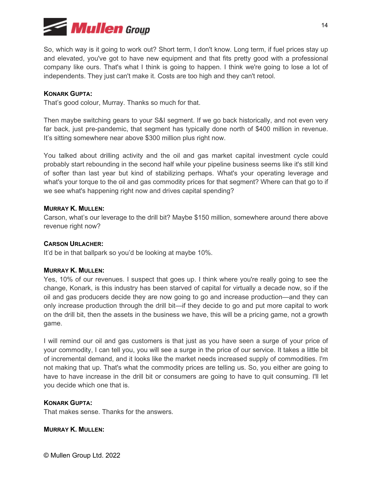

So, which way is it going to work out? Short term, I don't know. Long term, if fuel prices stay up and elevated, you've got to have new equipment and that fits pretty good with a professional company like ours. That's what I think is going to happen. I think we're going to lose a lot of independents. They just can't make it. Costs are too high and they can't retool.

## **KONARK GUPTA:**

That's good colour, Murray. Thanks so much for that.

Then maybe switching gears to your S&I segment. If we go back historically, and not even very far back, just pre-pandemic, that segment has typically done north of \$400 million in revenue. It's sitting somewhere near above \$300 million plus right now.

You talked about drilling activity and the oil and gas market capital investment cycle could probably start rebounding in the second half while your pipeline business seems like it's still kind of softer than last year but kind of stabilizing perhaps. What's your operating leverage and what's your torque to the oil and gas commodity prices for that segment? Where can that go to if we see what's happening right now and drives capital spending?

## **MURRAY K. MULLEN:**

Carson, what's our leverage to the drill bit? Maybe \$150 million, somewhere around there above revenue right now?

## **CARSON URLACHER:**

It'd be in that ballpark so you'd be looking at maybe 10%.

## **MURRAY K. MULLEN:**

Yes, 10% of our revenues. I suspect that goes up. I think where you're really going to see the change, Konark, is this industry has been starved of capital for virtually a decade now, so if the oil and gas producers decide they are now going to go and increase production—and they can only increase production through the drill bit—if they decide to go and put more capital to work on the drill bit, then the assets in the business we have, this will be a pricing game, not a growth game.

I will remind our oil and gas customers is that just as you have seen a surge of your price of your commodity, I can tell you, you will see a surge in the price of our service. It takes a little bit of incremental demand, and it looks like the market needs increased supply of commodities. I'm not making that up. That's what the commodity prices are telling us. So, you either are going to have to have increase in the drill bit or consumers are going to have to quit consuming. I'll let you decide which one that is.

## **KONARK GUPTA:**

That makes sense. Thanks for the answers.

## **MURRAY K. MULLEN:**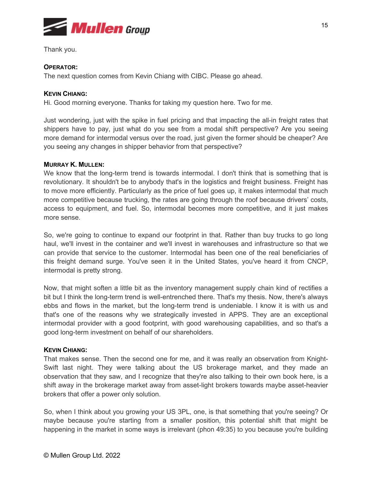

Thank you.

# **OPERATOR:**

The next question comes from Kevin Chiang with CIBC. Please go ahead.

# **KEVIN CHIANG:**

Hi. Good morning everyone. Thanks for taking my question here. Two for me.

Just wondering, just with the spike in fuel pricing and that impacting the all-in freight rates that shippers have to pay, just what do you see from a modal shift perspective? Are you seeing more demand for intermodal versus over the road, just given the former should be cheaper? Are you seeing any changes in shipper behavior from that perspective?

# **MURRAY K. MULLEN:**

We know that the long-term trend is towards intermodal. I don't think that is something that is revolutionary. It shouldn't be to anybody that's in the logistics and freight business. Freight has to move more efficiently. Particularly as the price of fuel goes up, it makes intermodal that much more competitive because trucking, the rates are going through the roof because drivers' costs, access to equipment, and fuel. So, intermodal becomes more competitive, and it just makes more sense.

So, we're going to continue to expand our footprint in that. Rather than buy trucks to go long haul, we'll invest in the container and we'll invest in warehouses and infrastructure so that we can provide that service to the customer. Intermodal has been one of the real beneficiaries of this freight demand surge. You've seen it in the United States, you've heard it from CNCP, intermodal is pretty strong.

Now, that might soften a little bit as the inventory management supply chain kind of rectifies a bit but I think the long-term trend is well-entrenched there. That's my thesis. Now, there's always ebbs and flows in the market, but the long-term trend is undeniable. I know it is with us and that's one of the reasons why we strategically invested in APPS. They are an exceptional intermodal provider with a good footprint, with good warehousing capabilities, and so that's a good long-term investment on behalf of our shareholders.

# **KEVIN CHIANG:**

That makes sense. Then the second one for me, and it was really an observation from Knight-Swift last night. They were talking about the US brokerage market, and they made an observation that they saw, and I recognize that they're also talking to their own book here, is a shift away in the brokerage market away from asset-light brokers towards maybe asset-heavier brokers that offer a power only solution.

So, when I think about you growing your US 3PL, one, is that something that you're seeing? Or maybe because you're starting from a smaller position, this potential shift that might be happening in the market in some ways is irrelevant (phon 49:35) to you because you're building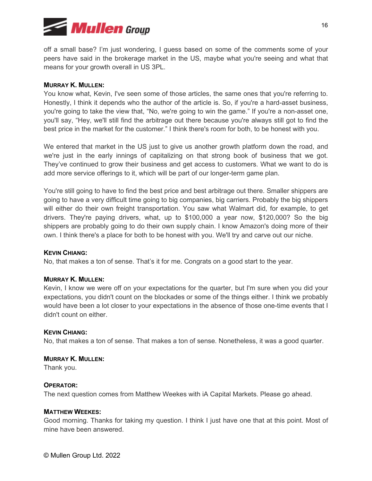

off a small base? I'm just wondering, I guess based on some of the comments some of your peers have said in the brokerage market in the US, maybe what you're seeing and what that means for your growth overall in US 3PL.

## **MURRAY K. MULLEN:**

You know what, Kevin, I've seen some of those articles, the same ones that you're referring to. Honestly, I think it depends who the author of the article is. So, if you're a hard-asset business, you're going to take the view that, "No, we're going to win the game." If you're a non-asset one, you'll say, "Hey, we'll still find the arbitrage out there because you're always still got to find the best price in the market for the customer." I think there's room for both, to be honest with you.

We entered that market in the US just to give us another growth platform down the road, and we're just in the early innings of capitalizing on that strong book of business that we got. They've continued to grow their business and get access to customers. What we want to do is add more service offerings to it, which will be part of our longer-term game plan.

You're still going to have to find the best price and best arbitrage out there. Smaller shippers are going to have a very difficult time going to big companies, big carriers. Probably the big shippers will either do their own freight transportation. You saw what Walmart did, for example, to get drivers. They're paying drivers, what, up to \$100,000 a year now, \$120,000? So the big shippers are probably going to do their own supply chain. I know Amazon's doing more of their own. I think there's a place for both to be honest with you. We'll try and carve out our niche.

#### **KEVIN CHIANG:**

No, that makes a ton of sense. That's it for me. Congrats on a good start to the year.

#### **MURRAY K. MULLEN:**

Kevin, I know we were off on your expectations for the quarter, but I'm sure when you did your expectations, you didn't count on the blockades or some of the things either. I think we probably would have been a lot closer to your expectations in the absence of those one-time events that I didn't count on either.

## **KEVIN CHIANG:**

No, that makes a ton of sense. That makes a ton of sense. Nonetheless, it was a good quarter.

#### **MURRAY K. MULLEN:**

Thank you.

## **OPERATOR:**

The next question comes from Matthew Weekes with iA Capital Markets. Please go ahead.

#### **MATTHEW WEEKES:**

Good morning. Thanks for taking my question. I think I just have one that at this point. Most of mine have been answered.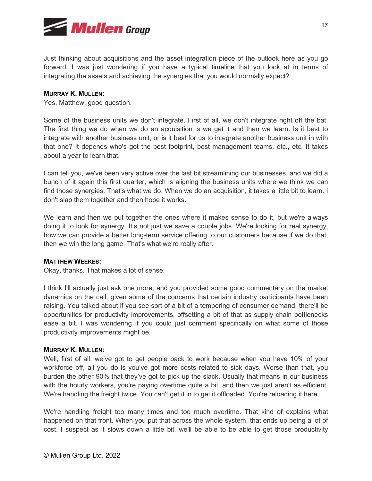

Just thinking about acquisitions and the asset integration piece of the outlook here as you go forward, I was just wondering if you have a typical timeline that you look at in terms of integrating the assets and achieving the synergies that you would normally expect?

## **MURRAY K. MULLEN:**

Yes, Matthew, good question.

Some of the business units we don't integrate. First of all, we don't integrate right off the bat. The first thing we do when we do an acquisition is we get it and then we learn. Is it best to integrate with another business unit, or is it best for us to integrate another business unit in with that one? It depends who's got the best footprint, best management teams, etc., etc. It takes about a year to learn that.

I can tell you, we've been very active over the last bit streamlining our businesses, and we did a bunch of it again this first quarter, which is aligning the business units where we think we can find those synergies. That's what we do. When we do an acquisition, it takes a little bit to learn. I don't slap them together and then hope it works.

We learn and then we put together the ones where it makes sense to do it, but we're always doing it to look for synergy. It's not just we save a couple jobs. We're looking for real synergy, how we can provide a better long-term service offering to our customers because if we do that, then we win the long game. That's what we're really after.

## **MATTHEW WEEKES:**

Okay, thanks. That makes a lot of sense.

I think I'll actually just ask one more, and you provided some good commentary on the market dynamics on the call, given some of the concerns that certain industry participants have been raising. You talked about if you see sort of a bit of a tempering of consumer demand, there'll be opportunities for productivity improvements, offsetting a bit of that as supply chain bottlenecks ease a bit. I was wondering if you could just comment specifically on what some of those productivity improvements might be.

## **MURRAY K. MULLEN:**

Well, first of all, we've got to get people back to work because when you have 10% of your workforce off, all you do is you've got more costs related to sick days. Worse than that, you burden the other 90% that they've got to pick up the slack. Usually that means in our business with the hourly workers, you're paying overtime quite a bit, and then we just aren't as efficient. We're handling the freight twice. You can't get it in to get it offloaded. You're reloading it here.

We're handling freight too many times and too much overtime. That kind of explains what happened on that front. When you put that across the whole system, that ends up being a lot of cost. I suspect as it slows down a little bit, we'll be able to be able to get those productivity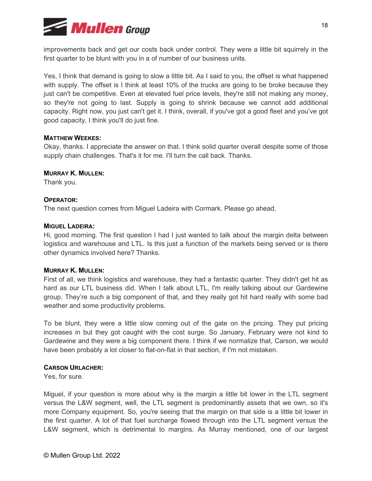

improvements back and get our costs back under control. They were a little bit squirrely in the first quarter to be blunt with you in a of number of our business units.

Yes, I think that demand is going to slow a little bit. As I said to you, the offset is what happened with supply. The offset is I think at least 10% of the trucks are going to be broke because they just can't be competitive. Even at elevated fuel price levels, they're still not making any money, so they're not going to last. Supply is going to shrink because we cannot add additional capacity. Right now, you just can't get it. I think, overall, if you've got a good fleet and you've got good capacity, I think you'll do just fine.

## **MATTHEW WEEKES:**

Okay, thanks. I appreciate the answer on that. I think solid quarter overall despite some of those supply chain challenges. That's it for me. I'll turn the call back. Thanks.

#### **MURRAY K. MULLEN:**

Thank you.

## **OPERATOR:**

The next question comes from Miguel Ladeira with Cormark. Please go ahead.

#### **MIGUEL LADEIRA:**

Hi, good morning. The first question I had I just wanted to talk about the margin delta between logistics and warehouse and LTL. Is this just a function of the markets being served or is there other dynamics involved here? Thanks.

## **MURRAY K. MULLEN:**

First of all, we think logistics and warehouse, they had a fantastic quarter. They didn't get hit as hard as our LTL business did. When I talk about LTL, I'm really talking about our Gardewine group. They're such a big component of that, and they really got hit hard really with some bad weather and some productivity problems.

To be blunt, they were a little slow coming out of the gate on the pricing. They put pricing increases in but they got caught with the cost surge. So January, February were not kind to Gardewine and they were a big component there. I think if we normalize that, Carson, we would have been probably a lot closer to flat-on-flat in that section, if I'm not mistaken.

## **CARSON URLACHER:**

Yes, for sure.

Miguel, if your question is more about why is the margin a little bit lower in the LTL segment versus the L&W segment, well, the LTL segment is predominantly assets that we own, so it's more Company equipment. So, you're seeing that the margin on that side is a little bit lower in the first quarter. A lot of that fuel surcharge flowed through into the LTL segment versus the L&W segment, which is detrimental to margins. As Murray mentioned, one of our largest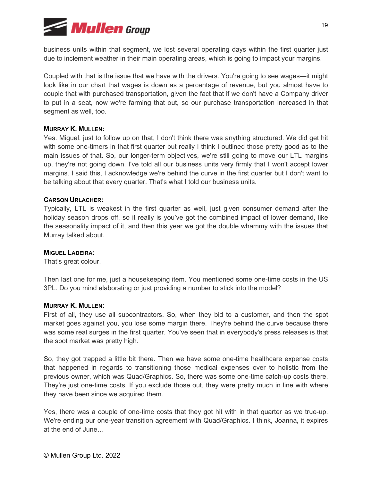

business units within that segment, we lost several operating days within the first quarter just due to inclement weather in their main operating areas, which is going to impact your margins.

Coupled with that is the issue that we have with the drivers. You're going to see wages—it might look like in our chart that wages is down as a percentage of revenue, but you almost have to couple that with purchased transportation, given the fact that if we don't have a Company driver to put in a seat, now we're farming that out, so our purchase transportation increased in that segment as well, too.

## **MURRAY K. MULLEN:**

Yes. Miguel, just to follow up on that, I don't think there was anything structured. We did get hit with some one-timers in that first quarter but really I think I outlined those pretty good as to the main issues of that. So, our longer-term objectives, we're still going to move our LTL margins up, they're not going down. I've told all our business units very firmly that I won't accept lower margins. I said this, I acknowledge we're behind the curve in the first quarter but I don't want to be talking about that every quarter. That's what I told our business units.

#### **CARSON URLACHER:**

Typically, LTL is weakest in the first quarter as well, just given consumer demand after the holiday season drops off, so it really is you've got the combined impact of lower demand, like the seasonality impact of it, and then this year we got the double whammy with the issues that Murray talked about.

#### **MIGUEL LADEIRA:**

That's great colour.

Then last one for me, just a housekeeping item. You mentioned some one-time costs in the US 3PL. Do you mind elaborating or just providing a number to stick into the model?

### **MURRAY K. MULLEN:**

First of all, they use all subcontractors. So, when they bid to a customer, and then the spot market goes against you, you lose some margin there. They're behind the curve because there was some real surges in the first quarter. You've seen that in everybody's press releases is that the spot market was pretty high.

So, they got trapped a little bit there. Then we have some one-time healthcare expense costs that happened in regards to transitioning those medical expenses over to holistic from the previous owner, which was Quad/Graphics. So, there was some one-time catch-up costs there. They're just one-time costs. If you exclude those out, they were pretty much in line with where they have been since we acquired them.

Yes, there was a couple of one-time costs that they got hit with in that quarter as we true-up. We're ending our one-year transition agreement with Quad/Graphics. I think, Joanna, it expires at the end of June…